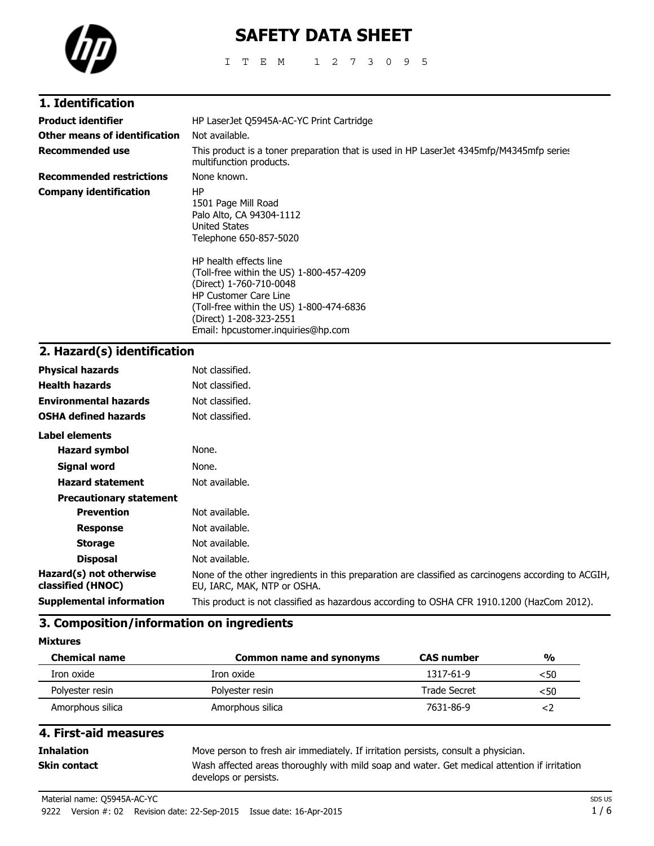

# **SAFETY DATA SHEET**

ITEM 1273095

| 1. Identification               |                                                                                                                                                                                                                                            |
|---------------------------------|--------------------------------------------------------------------------------------------------------------------------------------------------------------------------------------------------------------------------------------------|
| <b>Product identifier</b>       | HP LaserJet Q5945A-AC-YC Print Cartridge                                                                                                                                                                                                   |
| Other means of identification   | Not available.                                                                                                                                                                                                                             |
| <b>Recommended use</b>          | This product is a toner preparation that is used in HP LaserJet 4345mfp/M4345mfp series<br>multifunction products.                                                                                                                         |
| <b>Recommended restrictions</b> | None known.                                                                                                                                                                                                                                |
| Company identification          | HP.<br>1501 Page Mill Road<br>Palo Alto, CA 94304-1112<br>United States<br>Telephone 650-857-5020                                                                                                                                          |
|                                 | HP health effects line<br>(Toll-free within the US) 1-800-457-4209<br>(Direct) 1-760-710-0048<br><b>HP Customer Care Line</b><br>(Toll-free within the US) 1-800-474-6836<br>(Direct) 1-208-323-2551<br>Email: hpcustomer.inquiries@hp.com |

### **2. Hazard(s) identification**

| <b>Physical hazards</b>                      | Not classified.                                                                                                                    |
|----------------------------------------------|------------------------------------------------------------------------------------------------------------------------------------|
| <b>Health hazards</b>                        | Not classified.                                                                                                                    |
| <b>Environmental hazards</b>                 | Not classified.                                                                                                                    |
| <b>OSHA defined hazards</b>                  | Not classified.                                                                                                                    |
| <b>Label elements</b>                        |                                                                                                                                    |
| Hazard symbol                                | None.                                                                                                                              |
| Signal word                                  | None.                                                                                                                              |
| <b>Hazard statement</b>                      | Not available.                                                                                                                     |
| <b>Precautionary statement</b>               |                                                                                                                                    |
| <b>Prevention</b>                            | Not available.                                                                                                                     |
| <b>Response</b>                              | Not available.                                                                                                                     |
| <b>Storage</b>                               | Not available.                                                                                                                     |
| <b>Disposal</b>                              | Not available.                                                                                                                     |
| Hazard(s) not otherwise<br>classified (HNOC) | None of the other ingredients in this preparation are classified as carcinogens according to ACGIH,<br>EU, IARC, MAK, NTP or OSHA. |
| <b>Supplemental information</b>              | This product is not classified as hazardous according to OSHA CFR 1910.1200 (HazCom 2012).                                         |

### **3. Composition/information on ingredients**

**Mixtures**

| <b>Chemical name</b> | <b>Common name and synonyms</b> | <b>CAS</b> number   | $\frac{0}{0}$ |
|----------------------|---------------------------------|---------------------|---------------|
| Iron oxide           | Iron oxide                      | 1317-61-9           | $<$ 50        |
| Polyester resin      | Polyester resin                 | <b>Trade Secret</b> | <50           |
| Amorphous silica     | Amorphous silica                | 7631-86-9           |               |

### **4. First-aid measures Inhalation** Move person to fresh air immediately. If irritation persists, consult a physician. **Skin contact** Wash affected areas thoroughly with mild soap and water. Get medical attention if irritation develops or persists.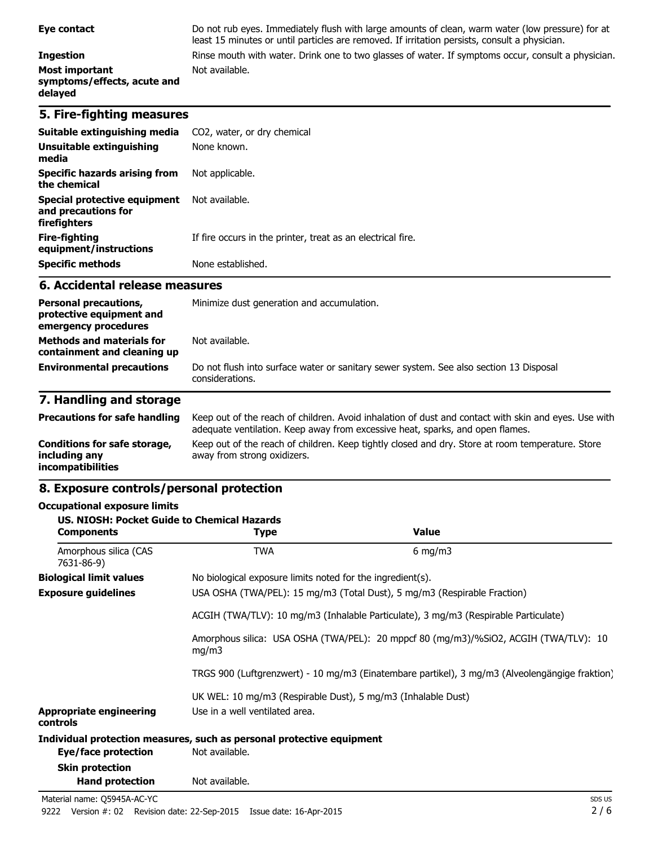#### **Ingestion** Rinse mouth with water. Drink one to two glasses of water. If symptoms occur, consult a physician. **Most important symptoms/effects, acute and delayed**

#### **5. Fire-fighting measures**

| Suitable extinguishing media                                        | CO2, water, or dry chemical                                 |
|---------------------------------------------------------------------|-------------------------------------------------------------|
| Unsuitable extinguishing<br>media                                   | None known.                                                 |
| Specific hazards arising from<br>the chemical                       | Not applicable.                                             |
| Special protective equipment<br>and precautions for<br>firefighters | Not available.                                              |
| <b>Fire-fighting</b><br>equipment/instructions                      | If fire occurs in the printer, treat as an electrical fire. |
| <b>Specific methods</b>                                             | None established.                                           |

Not available.

#### **6. Accidental release measures**

| <b>Personal precautions,</b><br>protective equipment and<br>emergency procedures | Minimize dust generation and accumulation.                                                                |
|----------------------------------------------------------------------------------|-----------------------------------------------------------------------------------------------------------|
| <b>Methods and materials for</b><br>containment and cleaning up                  | Not available.                                                                                            |
| <b>Environmental precautions</b>                                                 | Do not flush into surface water or sanitary sewer system. See also section 13 Disposal<br>considerations. |

least 15 minutes or until particles are removed. If irritation persists, consult a physician.

#### **7. Handling and storage**

| <b>Precautions for safe handling</b>                                      | Keep out of the reach of children. Avoid inhalation of dust and contact with skin and eyes. Use with<br>adequate ventilation. Keep away from excessive heat, sparks, and open flames. |
|---------------------------------------------------------------------------|---------------------------------------------------------------------------------------------------------------------------------------------------------------------------------------|
| Conditions for safe storage,<br>including any<br><b>incompatibilities</b> | Keep out of the reach of children. Keep tightly closed and dry. Store at room temperature. Store<br>away from strong oxidizers.                                                       |

#### **8. Exposure controls/personal protection**

#### **Occupational exposure limits**

| US. NIOSH: Pocket Guide to Chemical Hazards<br><b>Components</b> | Type                                                                                           | <b>Value</b>                                                                        |  |  |
|------------------------------------------------------------------|------------------------------------------------------------------------------------------------|-------------------------------------------------------------------------------------|--|--|
| Amorphous silica (CAS<br>7631-86-9)                              | <b>TWA</b>                                                                                     | $6 \text{ mg/m}$                                                                    |  |  |
| <b>Biological limit values</b>                                   | No biological exposure limits noted for the ingredient(s).                                     |                                                                                     |  |  |
| <b>Exposure guidelines</b>                                       |                                                                                                | USA OSHA (TWA/PEL): 15 mg/m3 (Total Dust), 5 mg/m3 (Respirable Fraction)            |  |  |
|                                                                  |                                                                                                | ACGIH (TWA/TLV): 10 mg/m3 (Inhalable Particulate), 3 mg/m3 (Respirable Particulate) |  |  |
|                                                                  | Amorphous silica: USA OSHA (TWA/PEL): 20 mppcf 80 (mg/m3)/%SiO2, ACGIH (TWA/TLV): 10<br>mq/m3  |                                                                                     |  |  |
|                                                                  | TRGS 900 (Luftgrenzwert) - 10 mg/m3 (Einatembare partikel), 3 mg/m3 (Alveolengängige fraktion) |                                                                                     |  |  |
|                                                                  | UK WEL: 10 mg/m3 (Respirable Dust), 5 mg/m3 (Inhalable Dust)                                   |                                                                                     |  |  |
| <b>Appropriate engineering</b><br>controls                       | Use in a well ventilated area.                                                                 |                                                                                     |  |  |
|                                                                  | Individual protection measures, such as personal protective equipment                          |                                                                                     |  |  |
| Eye/face protection                                              | Not available.                                                                                 |                                                                                     |  |  |
| <b>Skin protection</b>                                           |                                                                                                |                                                                                     |  |  |
| <b>Hand protection</b>                                           | Not available.                                                                                 |                                                                                     |  |  |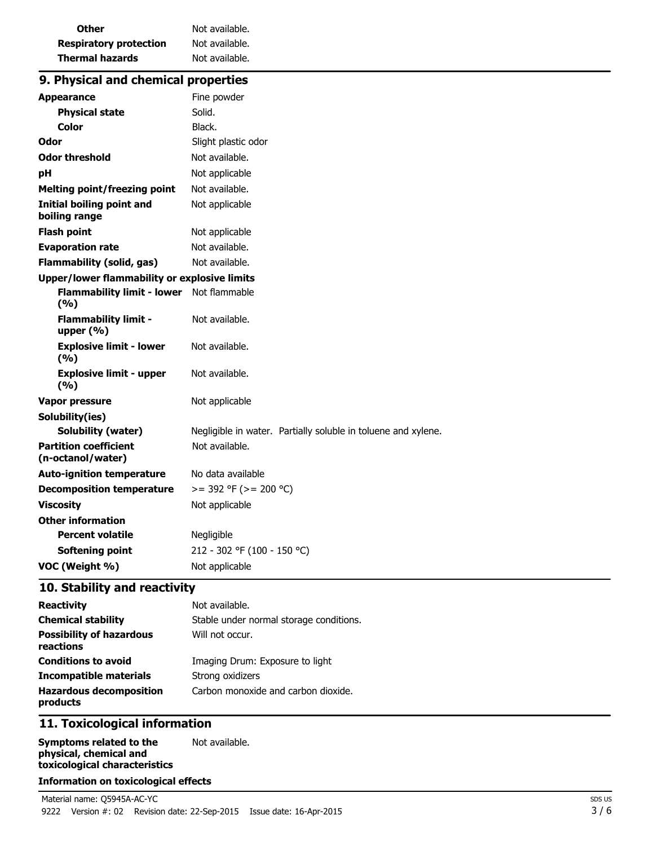| Other                         | Not available. |
|-------------------------------|----------------|
| <b>Respiratory protection</b> | Not available. |
| <b>Thermal hazards</b>        | Not available. |

### **9. Physical and chemical properties**

| <b>Appearance</b>                                   | Fine powder                                                   |
|-----------------------------------------------------|---------------------------------------------------------------|
| <b>Physical state</b>                               | Solid.                                                        |
| <b>Color</b>                                        | Black.                                                        |
| Odor                                                | Slight plastic odor                                           |
| <b>Odor threshold</b>                               | Not available.                                                |
| pH                                                  | Not applicable                                                |
| <b>Melting point/freezing point</b>                 | Not available.                                                |
| <b>Initial boiling point and</b><br>boiling range   | Not applicable                                                |
| <b>Flash point</b>                                  | Not applicable                                                |
| <b>Evaporation rate</b>                             | Not available.                                                |
| <b>Flammability (solid, gas)</b>                    | Not available.                                                |
| <b>Upper/lower flammability or explosive limits</b> |                                                               |
| Flammability limit - lower Not flammable<br>(%)     |                                                               |
| <b>Flammability limit -</b><br>upper $(% )$         | Not available.                                                |
| <b>Explosive limit - lower</b><br>(%)               | Not available.                                                |
| <b>Explosive limit - upper</b><br>(%)               | Not available.                                                |
| <b>Vapor pressure</b>                               | Not applicable                                                |
| Solubility(ies)                                     |                                                               |
| <b>Solubility (water)</b>                           | Negligible in water. Partially soluble in toluene and xylene. |
| <b>Partition coefficient</b><br>(n-octanol/water)   | Not available.                                                |
| <b>Auto-ignition temperature</b>                    | No data available                                             |
| <b>Decomposition temperature</b>                    | $>=$ 392 °F ( $>=$ 200 °C)                                    |
| <b>Viscosity</b>                                    | Not applicable                                                |
| <b>Other information</b>                            |                                                               |
| <b>Percent volatile</b>                             | Negligible                                                    |
| <b>Softening point</b>                              | 212 - 302 °F (100 - 150 °C)                                   |
| VOC (Weight %)                                      | Not applicable                                                |

### **10. Stability and reactivity**

| <b>Reactivity</b>                            | Not available.                          |
|----------------------------------------------|-----------------------------------------|
| <b>Chemical stability</b>                    | Stable under normal storage conditions. |
| <b>Possibility of hazardous</b><br>reactions | Will not occur.                         |
| <b>Conditions to avoid</b>                   | Imaging Drum: Exposure to light         |
| <b>Incompatible materials</b>                | Strong oxidizers                        |
| <b>Hazardous decomposition</b><br>products   | Carbon monoxide and carbon dioxide.     |

### **11. Toxicological information**

**Symptoms related to the physical, chemical and toxicological characteristics** Not available.

### **Information on toxicological effects**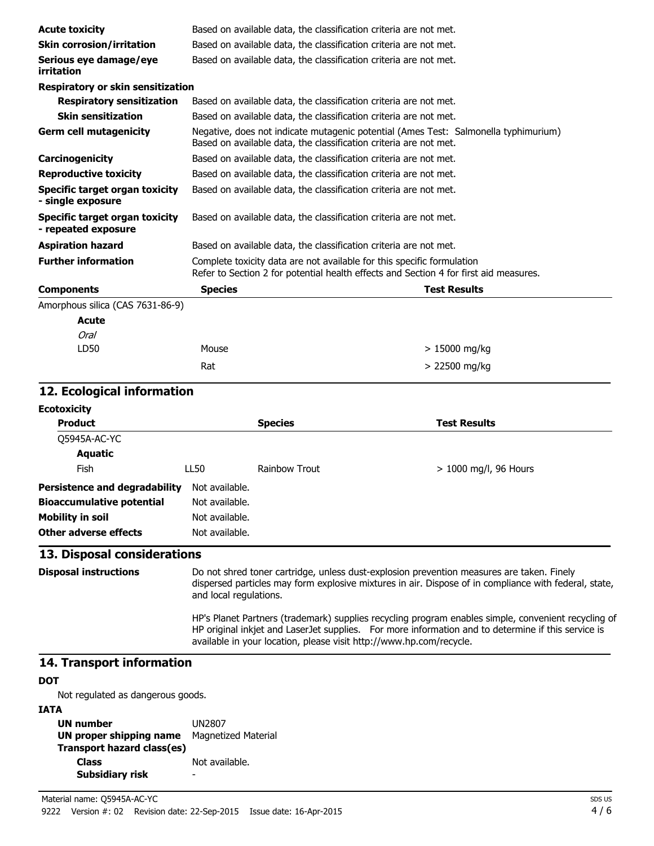| <b>Acute toxicity</b>                                 | Based on available data, the classification criteria are not met.                                                                                               |  |                                                                                     |
|-------------------------------------------------------|-----------------------------------------------------------------------------------------------------------------------------------------------------------------|--|-------------------------------------------------------------------------------------|
| <b>Skin corrosion/irritation</b>                      | Based on available data, the classification criteria are not met.                                                                                               |  |                                                                                     |
| Serious eye damage/eye<br>irritation                  | Based on available data, the classification criteria are not met.                                                                                               |  |                                                                                     |
| <b>Respiratory or skin sensitization</b>              |                                                                                                                                                                 |  |                                                                                     |
| <b>Respiratory sensitization</b>                      | Based on available data, the classification criteria are not met.                                                                                               |  |                                                                                     |
| <b>Skin sensitization</b>                             | Based on available data, the classification criteria are not met.                                                                                               |  |                                                                                     |
| <b>Germ cell mutagenicity</b>                         | Based on available data, the classification criteria are not met.                                                                                               |  | Negative, does not indicate mutagenic potential (Ames Test: Salmonella typhimurium) |
| Carcinogenicity                                       | Based on available data, the classification criteria are not met.                                                                                               |  |                                                                                     |
| <b>Reproductive toxicity</b>                          | Based on available data, the classification criteria are not met.                                                                                               |  |                                                                                     |
| Specific target organ toxicity<br>- single exposure   | Based on available data, the classification criteria are not met.                                                                                               |  |                                                                                     |
| Specific target organ toxicity<br>- repeated exposure | Based on available data, the classification criteria are not met.                                                                                               |  |                                                                                     |
| <b>Aspiration hazard</b>                              | Based on available data, the classification criteria are not met.                                                                                               |  |                                                                                     |
| <b>Further information</b>                            | Complete toxicity data are not available for this specific formulation<br>Refer to Section 2 for potential health effects and Section 4 for first aid measures. |  |                                                                                     |
| <b>Components</b>                                     | <b>Species</b>                                                                                                                                                  |  | <b>Test Results</b>                                                                 |
| Amorphous silica (CAS 7631-86-9)                      |                                                                                                                                                                 |  |                                                                                     |
| Acute                                                 |                                                                                                                                                                 |  |                                                                                     |
| Oral                                                  |                                                                                                                                                                 |  |                                                                                     |
| LD50                                                  | Mouse                                                                                                                                                           |  | > 15000 mg/kg                                                                       |
|                                                       | Rat                                                                                                                                                             |  | > 22500 mg/kg                                                                       |

### **12. Ecological information**

| Ecotoxicity                      |                |                      |                         |  |
|----------------------------------|----------------|----------------------|-------------------------|--|
| <b>Product</b>                   |                | <b>Species</b>       | <b>Test Results</b>     |  |
| Q5945A-AC-YC                     |                |                      |                         |  |
| Aquatic                          |                |                      |                         |  |
| <b>Fish</b>                      | LL50           | <b>Rainbow Trout</b> | $> 1000$ mg/l, 96 Hours |  |
| Persistence and degradability    | Not available. |                      |                         |  |
| <b>Bioaccumulative potential</b> | Not available. |                      |                         |  |
| Mobility in soil                 | Not available. |                      |                         |  |
| Other adverse effects            | Not available. |                      |                         |  |
|                                  |                |                      |                         |  |

#### **13. Disposal considerations**

**Disposal instructions** Do not shred toner cartridge, unless dust-explosion prevention measures are taken. Finely dispersed particles may form explosive mixtures in air. Dispose of in compliance with federal, state, and local regulations. HP's Planet Partners (trademark) supplies recycling program enables simple, convenient recycling of HP original inkjet and LaserJet supplies. For more information and to determine if this service is available in your location, please visit http://www.hp.com/recycle.

#### **14. Transport information**

#### **DOT**

Not regulated as dangerous goods.

#### **IATA**

| .                          |                            |
|----------------------------|----------------------------|
| <b>UN number</b>           | <b>UN2807</b>              |
| UN proper shipping name    | <b>Magnetized Material</b> |
| Transport hazard class(es) |                            |
| <b>Class</b>               | Not available.             |
| Subsidiary risk            |                            |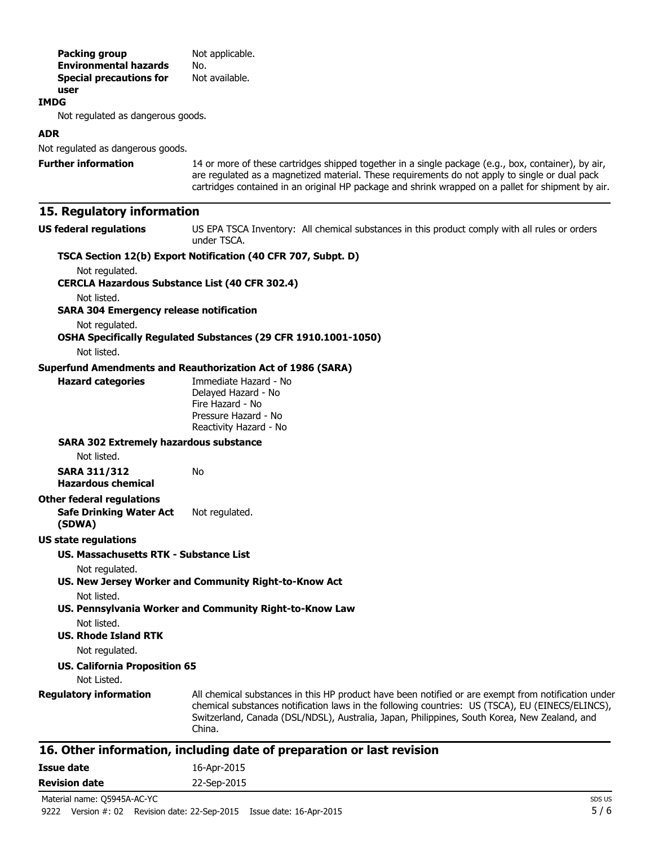| Packing group<br><b>Environmental hazards</b>                 | Not applicable.<br>No.                                                                                                                                                                                                                                                                                            |
|---------------------------------------------------------------|-------------------------------------------------------------------------------------------------------------------------------------------------------------------------------------------------------------------------------------------------------------------------------------------------------------------|
| <b>Special precautions for</b><br>user                        | Not available.                                                                                                                                                                                                                                                                                                    |
| <b>IMDG</b>                                                   |                                                                                                                                                                                                                                                                                                                   |
| Not regulated as dangerous goods.                             |                                                                                                                                                                                                                                                                                                                   |
| <b>ADR</b>                                                    |                                                                                                                                                                                                                                                                                                                   |
| Not regulated as dangerous goods.                             |                                                                                                                                                                                                                                                                                                                   |
| <b>Further information</b>                                    | 14 or more of these cartridges shipped together in a single package (e.g., box, container), by air,<br>are regulated as a magnetized material. These requirements do not apply to single or dual pack<br>cartridges contained in an original HP package and shrink wrapped on a pallet for shipment by air.       |
| 15. Regulatory information                                    |                                                                                                                                                                                                                                                                                                                   |
| <b>US federal regulations</b>                                 | US EPA TSCA Inventory: All chemical substances in this product comply with all rules or orders<br>under TSCA.                                                                                                                                                                                                     |
|                                                               | TSCA Section 12(b) Export Notification (40 CFR 707, Subpt. D)                                                                                                                                                                                                                                                     |
| Not regulated.                                                |                                                                                                                                                                                                                                                                                                                   |
| <b>CERCLA Hazardous Substance List (40 CFR 302.4)</b>         |                                                                                                                                                                                                                                                                                                                   |
| Not listed.<br><b>SARA 304 Emergency release notification</b> |                                                                                                                                                                                                                                                                                                                   |
| Not regulated.                                                |                                                                                                                                                                                                                                                                                                                   |
| Not listed.                                                   | OSHA Specifically Regulated Substances (29 CFR 1910.1001-1050)                                                                                                                                                                                                                                                    |
|                                                               |                                                                                                                                                                                                                                                                                                                   |
| <b>Hazard categories</b>                                      | <b>Superfund Amendments and Reauthorization Act of 1986 (SARA)</b><br>Immediate Hazard - No<br>Delayed Hazard - No<br>Fire Hazard - No<br>Pressure Hazard - No<br>Reactivity Hazard - No                                                                                                                          |
| <b>SARA 302 Extremely hazardous substance</b>                 |                                                                                                                                                                                                                                                                                                                   |
| Not listed.                                                   |                                                                                                                                                                                                                                                                                                                   |
| <b>SARA 311/312</b><br><b>Hazardous chemical</b>              | No                                                                                                                                                                                                                                                                                                                |
| <b>Other federal regulations</b>                              |                                                                                                                                                                                                                                                                                                                   |
| <b>Safe Drinking Water Act</b><br>(SDWA)                      | Not regulated.                                                                                                                                                                                                                                                                                                    |
| <b>US state regulations</b>                                   |                                                                                                                                                                                                                                                                                                                   |
| US. Massachusetts RTK - Substance List                        |                                                                                                                                                                                                                                                                                                                   |
| Not regulated.                                                | US. New Jersey Worker and Community Right-to-Know Act                                                                                                                                                                                                                                                             |
| Not listed.                                                   | US. Pennsylvania Worker and Community Right-to-Know Law                                                                                                                                                                                                                                                           |
| Not listed.<br><b>US. Rhode Island RTK</b>                    |                                                                                                                                                                                                                                                                                                                   |
| Not regulated.                                                |                                                                                                                                                                                                                                                                                                                   |
| <b>US. California Proposition 65</b><br>Not Listed.           |                                                                                                                                                                                                                                                                                                                   |
| <b>Regulatory information</b>                                 | All chemical substances in this HP product have been notified or are exempt from notification under<br>chemical substances notification laws in the following countries: US (TSCA), EU (EINECS/ELINCS),<br>Switzerland, Canada (DSL/NDSL), Australia, Japan, Philippines, South Korea, New Zealand, and<br>China. |
|                                                               | 16. Other information, including date of preparation or last revision                                                                                                                                                                                                                                             |
| <b>Issue date</b>                                             | 16-Apr-2015                                                                                                                                                                                                                                                                                                       |

## **Revision date** 22-Sep-2015